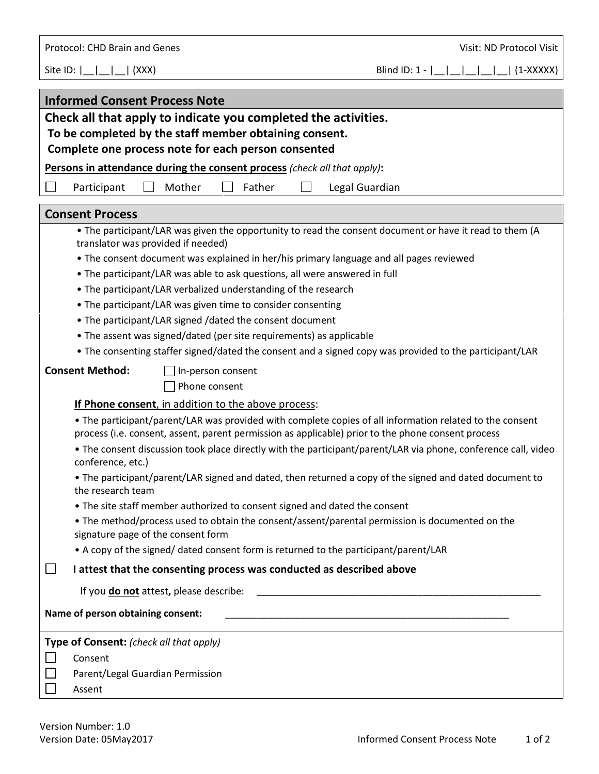Protocol: CHD Brain and Genes Visit: ND Protocol Visit: ND Protocol Visit:

Site ID:  $|\_| = |\_| = |\_$  (XXX) Blind ID: 1 -  $|\_| = |\_| = |\_| = |\_$  (1-XXXXX)

| <b>Informed Consent Process Note</b>                                                                                                                                                                           |  |  |  |
|----------------------------------------------------------------------------------------------------------------------------------------------------------------------------------------------------------------|--|--|--|
| Check all that apply to indicate you completed the activities.                                                                                                                                                 |  |  |  |
| To be completed by the staff member obtaining consent.                                                                                                                                                         |  |  |  |
| Complete one process note for each person consented                                                                                                                                                            |  |  |  |
| Persons in attendance during the consent process (check all that apply):                                                                                                                                       |  |  |  |
| Mother<br>Father<br>Legal Guardian<br>Participant                                                                                                                                                              |  |  |  |
| <b>Consent Process</b>                                                                                                                                                                                         |  |  |  |
| • The participant/LAR was given the opportunity to read the consent document or have it read to them (A                                                                                                        |  |  |  |
| translator was provided if needed)                                                                                                                                                                             |  |  |  |
| . The consent document was explained in her/his primary language and all pages reviewed                                                                                                                        |  |  |  |
| . The participant/LAR was able to ask questions, all were answered in full                                                                                                                                     |  |  |  |
| • The participant/LAR verbalized understanding of the research                                                                                                                                                 |  |  |  |
| • The participant/LAR was given time to consider consenting                                                                                                                                                    |  |  |  |
| • The participant/LAR signed /dated the consent document                                                                                                                                                       |  |  |  |
| • The assent was signed/dated (per site requirements) as applicable                                                                                                                                            |  |  |  |
| • The consenting staffer signed/dated the consent and a signed copy was provided to the participant/LAR                                                                                                        |  |  |  |
| <b>Consent Method:</b><br>In-person consent                                                                                                                                                                    |  |  |  |
| Phone consent                                                                                                                                                                                                  |  |  |  |
| If Phone consent, in addition to the above process:                                                                                                                                                            |  |  |  |
| • The participant/parent/LAR was provided with complete copies of all information related to the consent<br>process (i.e. consent, assent, parent permission as applicable) prior to the phone consent process |  |  |  |
| • The consent discussion took place directly with the participant/parent/LAR via phone, conference call, video<br>conference, etc.)                                                                            |  |  |  |
| . The participant/parent/LAR signed and dated, then returned a copy of the signed and dated document to<br>the research team                                                                                   |  |  |  |
| • The site staff member authorized to consent signed and dated the consent                                                                                                                                     |  |  |  |
| • The method/process used to obtain the consent/assent/parental permission is documented on the<br>signature page of the consent form                                                                          |  |  |  |
| • A copy of the signed/ dated consent form is returned to the participant/parent/LAR                                                                                                                           |  |  |  |
| I attest that the consenting process was conducted as described above<br>$\sqcup$                                                                                                                              |  |  |  |
| If you do not attest, please describe:                                                                                                                                                                         |  |  |  |
| Name of person obtaining consent:                                                                                                                                                                              |  |  |  |
| Type of Consent: (check all that apply)                                                                                                                                                                        |  |  |  |
| Consent                                                                                                                                                                                                        |  |  |  |
| Parent/Legal Guardian Permission                                                                                                                                                                               |  |  |  |
| Assent                                                                                                                                                                                                         |  |  |  |
|                                                                                                                                                                                                                |  |  |  |